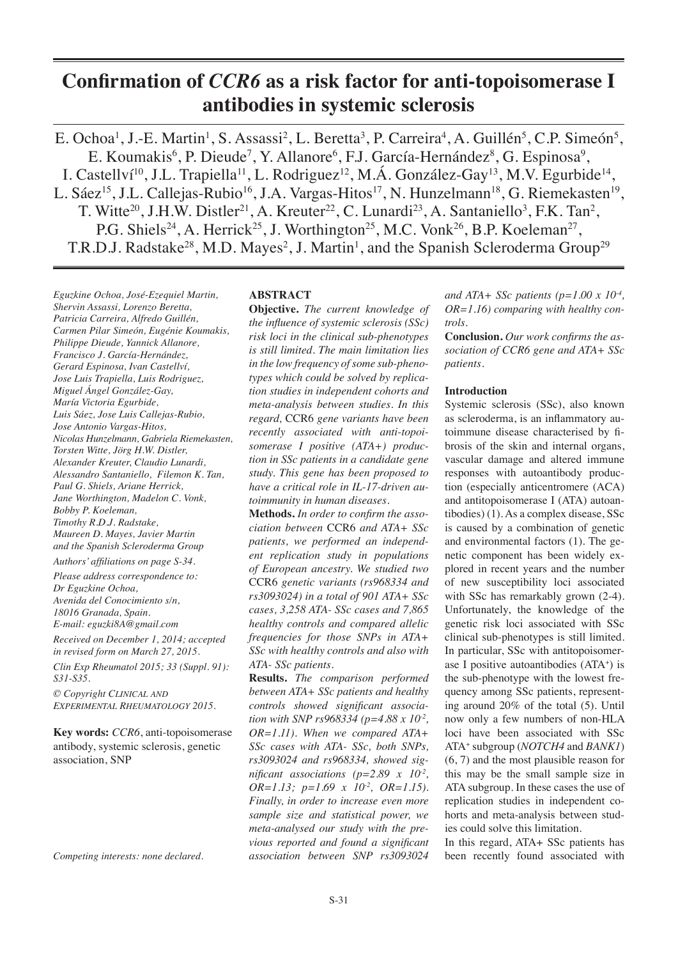# **Confirmation of** *CCR6* **as a risk factor for anti-topoisomerase I antibodies in systemic sclerosis**

E. Ochoa<sup>1</sup>, J.-E. Martin<sup>1</sup>, S. Assassi<sup>2</sup>, L. Beretta<sup>3</sup>, P. Carreira<sup>4</sup>, A. Guillén<sup>5</sup>, C.P. Simeón<sup>5</sup>, E. Koumakis<sup>6</sup>, P. Dieude<sup>7</sup>, Y. Allanore<sup>6</sup>, F.J. García-Hernández<sup>8</sup>, G. Espinosa<sup>9</sup>, I. Castellyí<sup>10</sup>, J.L. Trapiella<sup>11</sup>, L. Rodriguez<sup>12</sup>, M.Á. González-Gay<sup>13</sup>, M.V. Egurbide<sup>14</sup>, L. Sáez<sup>15</sup>, J.L. Callejas-Rubio<sup>16</sup>, J.A. Vargas-Hitos<sup>17</sup>, N. Hunzelmann<sup>18</sup>, G. Riemekasten<sup>19</sup>, T. Witte<sup>20</sup>, J.H.W. Distler<sup>21</sup>, A. Kreuter<sup>22</sup>, C. Lunardi<sup>23</sup>, A. Santaniello<sup>3</sup>, F.K. Tan<sup>2</sup>, P.G. Shiels<sup>24</sup>, A. Herrick<sup>25</sup>, J. Worthington<sup>25</sup>, M.C. Vonk<sup>26</sup>, B.P. Koeleman<sup>27</sup>, T.R.D.J. Radstake<sup>28</sup>, M.D. Mayes<sup>2</sup>, J. Martin<sup>1</sup>, and the Spanish Scleroderma Group<sup>29</sup>

*Eguzkine Ochoa, José-Ezequiel Martin, Shervin Assassi, Lorenzo Beretta, Patricia Carreira, Alfredo Guillén, Carmen Pilar Simeón, Eugénie Koumakis, Philippe Dieude, Yannick Allanore, Francisco J. García-Hernández, Gerard Espinosa, Ivan Castellví, Jose Luis Trapiella, Luis Rodriguez, Miguel Ángel González-Gay, María Victoria Egurbide, Luis Sáez, Jose Luis Callejas-Rubio, Jose Antonio Vargas-Hitos, Nicolas Hunzelmann, Gabriela Riemekasten, Torsten Witte, Jörg H.W. Distler, Alexander Kreuter, Claudio Lunardi, Alessandro Santaniello, Filemon K. Tan, Paul G. Shiels, Ariane Herrick, Jane Worthington, Madelon C. Vonk, Bobby P. Koeleman, Timothy R.D.J. Radstake, Maureen D. Mayes, Javier Martin and the Spanish Scleroderma Group*

*Authors' affiliations on page S-34.*

*Please address correspondence to: Dr Eguzkine Ochoa, Avenida del Conocimiento s/n, 18016 Granada, Spain. E-mail: eguzki8A@gmail.com*

*Received on December 1, 2014; accepted in revised form on March 27, 2015.*

*Clin Exp Rheumatol 2015; 33 (Suppl. 91): S31-S35.*

*© Copyright Clinical and Experimental Rheumatology 2015.*

**Key words:** *CCR6*, anti-topoisomerase antibody, systemic sclerosis, genetic association, SNP

*Competing interests: none declared.*

## **ABSTRACT**

**Objective.** *The current knowledge of the influence of systemic sclerosis (SSc) risk loci in the clinical sub-phenotypes is still limited. The main limitation lies in the low frequency of some sub-phenotypes which could be solved by replication studies in independent cohorts and meta-analysis between studies. In this regard,* CCR6 *gene variants have been recently associated with anti-topoisomerase I positive (ATA+) production in SSc patients in a candidate gene study. This gene has been proposed to have a critical role in IL-17-driven autoimmunity in human diseases.*

**Methods.** *In order to confirm the association between* CCR6 *and ATA+ SSc patients, we performed an independent replication study in populations of European ancestry. We studied two*  CCR6 *genetic variants (rs968334 and rs3093024) in a total of 901 ATA+ SSc cases, 3,258 ATA- SSc cases and 7,865 healthy controls and compared allelic frequencies for those SNPs in ATA+ SSc with healthy controls and also with ATA- SSc patients.*

**Results.** *The comparison performed between ATA+ SSc patients and healthy controls showed significant association with SNP rs968334 (p=4.88 x 10-2, OR=1.11). When we compared ATA+ SSc cases with ATA- SSc, both SNPs, rs3093024 and rs968334, showed significant associations (p=2.89 x 10<sup>2</sup>, OR=1.13; p=1.69 x 10-2, OR=1.15). Finally, in order to increase even more sample size and statistical power, we meta-analysed our study with the previous reported and found a significant association between SNP rs3093024* 

*and ATA+ SSc patients (p=1.00 x 10<sup>-4</sup></sup>, OR=1.16) comparing with healthy controls.*

**Conclusion.** *Our work confirms the association of CCR6 gene and ATA+ SSc patients.* 

## **Introduction**

Systemic sclerosis (SSc), also known as scleroderma, is an inflammatory autoimmune disease characterised by fibrosis of the skin and internal organs, vascular damage and altered immune responses with autoantibody production (especially anticentromere (ACA) and antitopoisomerase I (ATA) autoantibodies) (1). As a complex disease, SSc is caused by a combination of genetic and environmental factors (1). The genetic component has been widely explored in recent years and the number of new susceptibility loci associated with SSc has remarkably grown  $(2-4)$ . Unfortunately, the knowledge of the genetic risk loci associated with SSc clinical sub-phenotypes is still limited. In particular, SSc with antitopoisomerase I positive autoantibodies (ATA+) is the sub-phenotype with the lowest frequency among SSc patients, representing around 20% of the total (5). Until now only a few numbers of non-HLA loci have been associated with SSc ATA+ subgroup (*NOTCH4* and *BANK1*) (6, 7) and the most plausible reason for this may be the small sample size in ATA subgroup. In these cases the use of replication studies in independent cohorts and meta-analysis between studies could solve this limitation.

In this regard, ATA+ SSc patients has been recently found associated with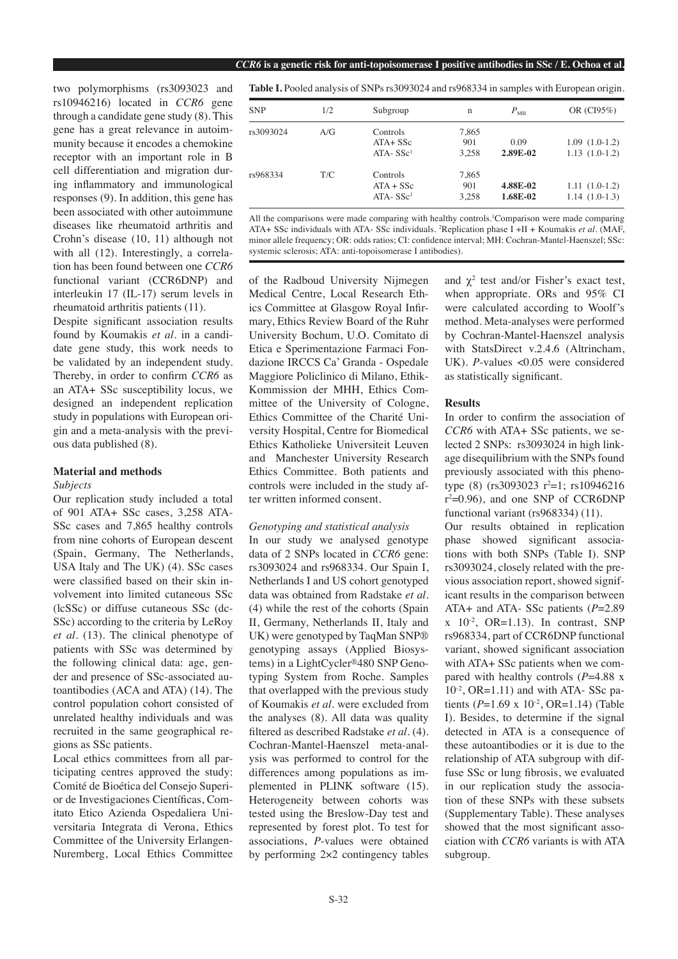two polymorphisms (rs3093023 and rs10946216) located in *CCR6* gene through a candidate gene study (8). This gene has a great relevance in autoimmunity because it encodes a chemokine receptor with an important role in B cell differentiation and migration during inflammatory and immunological responses (9). In addition, this gene has been associated with other autoimmune diseases like rheumatoid arthritis and Crohn's disease (10, 11) although not with all (12). Interestingly, a correlation has been found between one *CCR6* functional variant (CCR6DNP) and interleukin 17 (IL-17) serum levels in rheumatoid arthritis patients (11).

Despite significant association results found by Koumakis *et al.* in a candidate gene study, this work needs to be validated by an independent study. Thereby, in order to confirm *CCR6* as an ATA+ SSc susceptibility locus, we designed an independent replication study in populations with European origin and a meta-analysis with the previous data published (8).

## **Material and methods**

### *Subjects*

Our replication study included a total of 901 ATA+ SSc cases, 3,258 ATA-SSc cases and 7,865 healthy controls from nine cohorts of European descent (Spain, Germany, The Netherlands, USA Italy and The UK) (4). SSc cases were classified based on their skin involvement into limited cutaneous SSc (lcSSc) or diffuse cutaneous SSc (dc-SSc) according to the criteria by LeRoy *et al.* (13). The clinical phenotype of patients with SSc was determined by the following clinical data: age, gender and presence of SSc-associated autoantibodies (ACA and ATA) (14). The control population cohort consisted of unrelated healthy individuals and was recruited in the same geographical regions as SSc patients.

Local ethics committees from all participating centres approved the study: Comité de Bioética del Consejo Superior de Investigaciones Científicas, Comitato Etico Azienda Ospedaliera Universitaria Integrata di Verona, Ethics Committee of the University Erlangen-Nuremberg, Local Ethics Committee

**Table I.** Pooled analysis of SNPs rs3093024 and rs968334 in samples with European origin.

| <b>SNP</b> | 1/2 | Subgroup                                | $\mathbf n$           | $P_{\text{MH}}$      | OR $(CI95%)$                       |
|------------|-----|-----------------------------------------|-----------------------|----------------------|------------------------------------|
| rs3093024  | A/G | Controls<br>$ATA + SSC$<br>$ATA - SSc1$ | 7,865<br>901<br>3.258 | 0.09<br>2.89E-02     | $1.09(1.0-1.2)$<br>$1.13(1.0-1.2)$ |
| rs968334   | T/C | Controls<br>$ATA + SSC$<br>$ATA-SSc1$   | 7,865<br>901<br>3.258 | 4.88E-02<br>1.68E-02 | $1.11(1.0-1.2)$<br>$1.14(1.0-1.3)$ |

All the comparisons were made comparing with healthy controls.<sup>1</sup>Comparison were made comparing ATA+ SSc individuals with ATA- SSc individuals. 2 Replication phase I +II + Koumakis *et al.* (MAF, minor allele frequency; OR: odds ratios; CI: confidence interval; MH: Cochran-Mantel-Haenszel; SSc: systemic sclerosis; ATA: anti-topoisomerase I antibodies).

of the Radboud University Nijmegen Medical Centre, Local Research Ethics Committee at Glasgow Royal Infirmary, Ethics Review Board of the Ruhr University Bochum, U.O. Comitato di Etica e Sperimentazione Farmaci Fondazione IRCCS Ca' Granda - Ospedale Maggiore Policlinico di Milano, Ethik-Kommission der MHH, Ethics Committee of the University of Cologne, Ethics Committee of the Charité University Hospital, Centre for Biomedical Ethics Katholieke Universiteit Leuven and Manchester University Research Ethics Committee. Both patients and controls were included in the study after written informed consent.

#### *Genotyping and statistical analysis*

In our study we analysed genotype data of 2 SNPs located in *CCR6* gene: rs3093024 and rs968334. Our Spain I, Netherlands I and US cohort genotyped data was obtained from Radstake *et al.* (4) while the rest of the cohorts (Spain II, Germany, Netherlands II, Italy and UK) were genotyped by TaqMan SNP® genotyping assays (Applied Biosystems) in a LightCycler®480 SNP Genotyping System from Roche. Samples that overlapped with the previous study of Koumakis *et al.* were excluded from the analyses (8). All data was quality filtered as described Radstake *et al.* (4). Cochran-Mantel-Haenszel meta-analysis was performed to control for the differences among populations as implemented in PLINK software (15). Heterogeneity between cohorts was tested using the Breslow-Day test and represented by forest plot. To test for associations, *P*-values were obtained by performing 2×2 contingency tables and  $\chi^2$  test and/or Fisher's exact test, when appropriate. ORs and 95% CI were calculated according to Woolf's method. Meta-analyses were performed by Cochran-Mantel-Haenszel analysis with StatsDirect v.2.4.6 (Altrincham, UK). *P*-values <0.05 were considered as statistically significant.

## **Results**

In order to confirm the association of *CCR6* with ATA+ SSc patients, we selected 2 SNPs: rs3093024 in high linkage disequilibrium with the SNPs found previously associated with this phenotype (8)  $(rs3093023 \ r^2=1; rs10946216)$  $r^2=0.96$ ), and one SNP of CCR6DNP functional variant (rs968334) (11).

Our results obtained in replication phase showed significant associations with both SNPs (Table I). SNP rs3093024, closely related with the previous association report, showed significant results in the comparison between ATA+ and ATA- SSc patients (*P*=2.89  $x$  10<sup>-2</sup>, OR=1.13). In contrast, SNP rs968334, part of CCR6DNP functional variant, showed significant association with ATA+ SSc patients when we compared with healthy controls (*P*=4.88 x  $10^{-2}$ , OR=1.11) and with ATA- SSc patients  $(P=1.69 \times 10^{-2}, \text{OR}=1.14)$  (Table I). Besides, to determine if the signal detected in ATA is a consequence of these autoantibodies or it is due to the relationship of ATA subgroup with diffuse SSc or lung fibrosis, we evaluated in our replication study the association of these SNPs with these subsets (Supplementary Table). These analyses showed that the most significant association with *CCR6* variants is with ATA subgroup.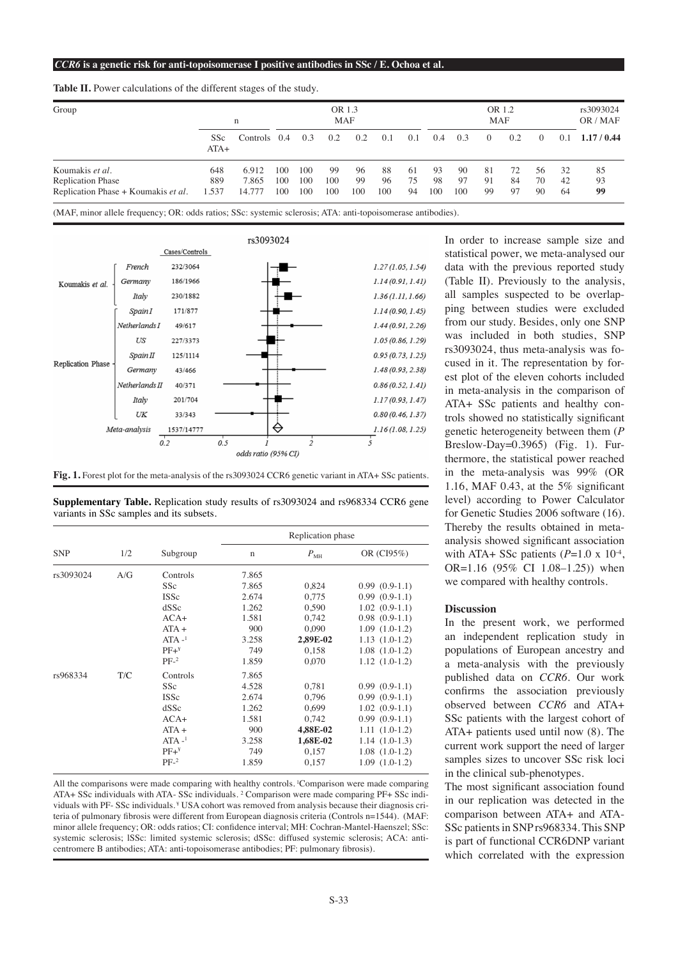| Group                               | n             |              | OR 1.3<br><b>MAF</b> |     |     |     | OR 1.2<br><b>MAF</b> |     |     |     |          | rs3093024<br>OR / MAF |          |     |           |
|-------------------------------------|---------------|--------------|----------------------|-----|-----|-----|----------------------|-----|-----|-----|----------|-----------------------|----------|-----|-----------|
|                                     | SSc<br>$ATA+$ | Controls 0.4 |                      | 0.3 | 0.2 | 0.2 | 0.1                  | 0.1 | 0.4 | 0.3 | $\left($ | 0.2                   | $\Omega$ | 0.1 | 1.17/0.44 |
| Koumakis et al.                     | 648           | 6.912        | 100                  | 100 | 99  | 96  | 88                   | -61 | 93  | 90  | -81      | 72                    | 56       | 32  | 85        |
| <b>Replication Phase</b>            | 889           | 7.865        | 100                  | 100 | 100 | 99  | 96                   | 75  | 98  | 97  | 91       | 84                    | 70       | 42  | 93        |
| Replication Phase + Koumakis et al. | 1.537         | 14.777       | 100                  | 100 | 100 | 100 | 100                  | 94  | 100 | 100 | 99       | 97                    | 90       | 64  | 99        |

**Table II.** Power calculations of the different stages of the study.

(MAF, minor allele frequency; OR: odds ratios; SSc: systemic sclerosis; ATA: anti-topoisomerase antibodies).





**Supplementary Table.** Replication study results of rs3093024 and rs968334 CCR6 gene variants in SSc samples and its subsets.

| <b>SNP</b><br>rs3093024 | 1/2<br>A/G | Subgroup<br>Controls | Replication phase |              |                    |  |  |  |
|-------------------------|------------|----------------------|-------------------|--------------|--------------------|--|--|--|
|                         |            |                      | $\mathbf n$       | $P_{\rm MH}$ | OR (CI95%)         |  |  |  |
|                         |            |                      | 7.865             |              |                    |  |  |  |
|                         |            | SSc                  | 7.865             | 0,824        | $0.99(0.9-1.1)$    |  |  |  |
|                         |            | <b>ISSc</b>          | 2.674             | 0.775        | $0.99(0.9-1.1)$    |  |  |  |
|                         |            | dSSc                 | 1.262             | 0,590        | $1.02(0.9-1.1)$    |  |  |  |
|                         |            | $ACA+$               | 1.581             | 0,742        | $0.98(0.9-1.1)$    |  |  |  |
|                         |            | $ATA +$              | 900               | 0.090        | $1.09(1.0-1.2)$    |  |  |  |
|                         |            | $ATA -1$             | 3.258             | 2,89E-02     | $1.13(1.0-1.2)$    |  |  |  |
|                         |            | $PF+Y$               | 749               | 0,158        | $1.08$ $(1.0-1.2)$ |  |  |  |
|                         |            | $PF-2$               | 1.859             | 0,070        | $1.12(1.0-1.2)$    |  |  |  |
| rs968334                | T/C        | Controls             | 7.865             |              |                    |  |  |  |
|                         |            | SSc                  | 4.528             | 0,781        | $0.99(0.9-1.1)$    |  |  |  |
|                         |            | <b>ISSc</b>          | 2.674             | 0,796        | $0.99(0.9-1.1)$    |  |  |  |
|                         |            | dSSc                 | 1.262             | 0,699        | $1.02(0.9-1.1)$    |  |  |  |
|                         |            | $ACA+$               | 1.581             | 0,742        | $0.99(0.9-1.1)$    |  |  |  |
|                         |            | $ATA +$              | 900               | 4,88E-02     | $1.11(1.0-1.2)$    |  |  |  |
|                         |            | $ATA -1$             | 3.258             | 1,68E-02     | $1.14(1.0-1.3)$    |  |  |  |
|                         |            | $PF+Y$               | 749               | 0,157        | $1.08$ $(1.0-1.2)$ |  |  |  |
|                         |            | $PF-2$               | 1.859             | 0,157        | $1.09(1.0-1.2)$    |  |  |  |

All the comparisons were made comparing with healthy controls. 1Comparison were made comparing ATA+ SSc individuals with ATA- SSc individuals. 2 Comparison were made comparing PF+ SSc individuals with PF- SSc individuals. ¥ USA cohort was removed from analysis because their diagnosis criteria of pulmonary fibrosis were different from European diagnosis criteria (Controls n=1544). (MAF: minor allele frequency; OR: odds ratios; CI: confidence interval; MH: Cochran-Mantel-Haenszel; SSc: systemic sclerosis; lSSc: limited systemic sclerosis; dSSc: diffused systemic sclerosis; ACA: anticentromere B antibodies; ATA: anti-topoisomerase antibodies; PF: pulmonary fibrosis).

In order to increase sample size and statistical power, we meta-analysed our data with the previous reported study (Table II). Previously to the analysis, all samples suspected to be overlapping between studies were excluded from our study. Besides, only one SNP was included in both studies, SNP rs3093024, thus meta-analysis was focused in it. The representation by forest plot of the eleven cohorts included in meta-analysis in the comparison of ATA+ SSc patients and healthy controls showed no statistically significant genetic heterogeneity between them (*P* Breslow-Day=0.3965) (Fig. 1). Furthermore, the statistical power reached in the meta-analysis was 99% (OR 1.16, MAF 0.43, at the 5% significant level) according to Power Calculator for Genetic Studies 2006 software (16). Thereby the results obtained in metaanalysis showed significant association with ATA+ SSc patients  $(P=1.0 \times 10^{-4})$ , OR=1.16 (95% CI 1.08–1.25)) when we compared with healthy controls.

# **Discussion**

In the present work, we performed an independent replication study in populations of European ancestry and a meta-analysis with the previously published data on *CCR6*. Our work confirms the association previously observed between *CCR6* and ATA+ SSc patients with the largest cohort of ATA+ patients used until now (8). The current work support the need of larger samples sizes to uncover SSc risk loci in the clinical sub-phenotypes.

The most significant association found in our replication was detected in the comparison between ATA+ and ATA-SSc patients in SNP rs968334. This SNP is part of functional CCR6DNP variant which correlated with the expression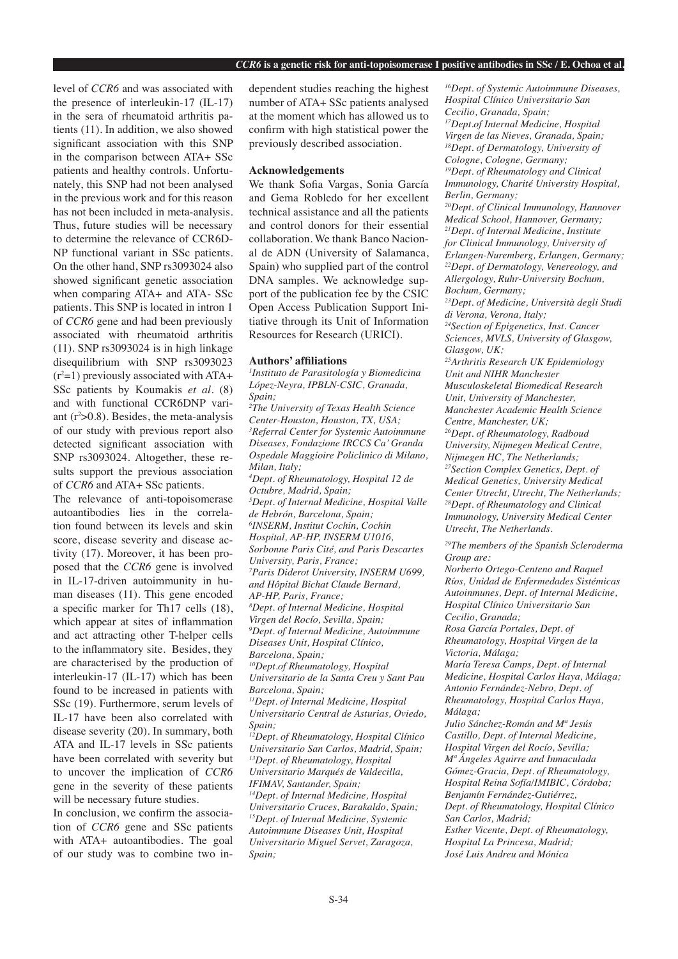level of *CCR6* and was associated with the presence of interleukin-17 (IL-17) in the sera of rheumatoid arthritis patients (11). In addition, we also showed significant association with this SNP in the comparison between ATA+ SSc patients and healthy controls. Unfortunately, this SNP had not been analysed in the previous work and for this reason has not been included in meta-analysis. Thus, future studies will be necessary to determine the relevance of CCR6D-NP functional variant in SSc patients. On the other hand, SNP rs3093024 also showed significant genetic association when comparing ATA+ and ATA- SSc patients. This SNP is located in intron 1 of *CCR6* gene and had been previously associated with rheumatoid arthritis (11). SNP rs3093024 is in high linkage disequilibrium with SNP rs3093023  $(r<sup>2</sup>=1)$  previously associated with ATA+ SSc patients by Koumakis *et al.* (8) and with functional CCR6DNP variant  $(r<sup>2</sup> > 0.8)$ . Besides, the meta-analysis of our study with previous report also detected significant association with SNP rs3093024. Altogether, these results support the previous association of *CCR6* and ATA+ SSc patients.

The relevance of anti-topoisomerase autoantibodies lies in the correlation found between its levels and skin score, disease severity and disease activity (17). Moreover, it has been proposed that the *CCR6* gene is involved in IL-17-driven autoimmunity in human diseases (11). This gene encoded a specific marker for Th17 cells (18), which appear at sites of inflammation and act attracting other T-helper cells to the inflammatory site. Besides, they are characterised by the production of interleukin-17 (IL-17) which has been found to be increased in patients with SSc (19). Furthermore, serum levels of IL-17 have been also correlated with disease severity (20). In summary, both ATA and IL-17 levels in SSc patients have been correlated with severity but to uncover the implication of *CCR6* gene in the severity of these patients will be necessary future studies.

In conclusion, we confirm the association of *CCR6* gene and SSc patients with ATA+ autoantibodies. The goal of our study was to combine two independent studies reaching the highest number of ATA+ SSc patients analysed at the moment which has allowed us to confirm with high statistical power the previously described association.

# **Acknowledgements**

We thank Sofia Vargas, Sonia García and Gema Robledo for her excellent technical assistance and all the patients and control donors for their essential collaboration. We thank Banco Nacional de ADN (University of Salamanca, Spain) who supplied part of the control DNA samples. We acknowledge support of the publication fee by the CSIC Open Access Publication Support Initiative through its Unit of Information Resources for Research (URICI).

## **Authors' affiliations**

*1 Instituto de Parasitología y Biomedicina López-Neyra, IPBLN-CSIC, Granada, Spain; 2 The University of Texas Health Science Center-Houston, Houston, TX, USA; 3 Referral Center for Systemic Autoimmune Diseases, Fondazione IRCCS Ca' Granda Ospedale Maggioire Policlinico di Milano, Milan, Italy; 4 Dept. of Rheumatology, Hospital 12 de Octubre, Madrid, Spain; 5 Dept. of Internal Medicine, Hospital Valle de Hebrón, Barcelona, Spain; 6 INSERM, Institut Cochin, Cochin Hospital, AP-HP, INSERM U1016, Sorbonne Paris Cité, and Paris Descartes University, Paris, France; 7 Paris Diderot University, INSERM U699, and Hôpital Bichat Claude Bernard, AP-HP, Paris, France; 8 Dept. of Internal Medicine, Hospital Virgen del Rocío, Sevilla, Spain; 9 Dept. of Internal Medicine, Autoimmune Diseases Unit, Hospital Clínico, Barcelona, Spain; 10Dept.of Rheumatology, Hospital Universitario de la Santa Creu y Sant Pau Barcelona, Spain; 11Dept. of Internal Medicine, Hospital Universitario Central de Asturias, Oviedo, Spain; 12Dept. of Rheumatology, Hospital Clínico Universitario San Carlos, Madrid, Spain; <sup>13</sup>Dept. of Rheumatology, Hospital Universitario Marqués de Valdecilla, IFIMAV, Santander, Spain; <sup>14</sup>Dept. of Internal Medicine, Hospital Universitario Cruces, Barakaldo, Spain; 15Dept. of Internal Medicine, Systemic Autoimmune Diseases Unit, Hospital Universitario Miguel Servet, Zaragoza,* 

*16Dept. of Systemic Autoimmune Diseases, Hospital Clínico Universitario San Cecilio, Granada, Spain; 17Dept.of Internal Medicine, Hospital Virgen de las Nieves, Granada, Spain; 18Dept. of Dermatology, University of Cologne, Cologne, Germany; <sup>19</sup>Dept. of Rheumatology and Clinical Immunology, Charité University Hospital, Berlin, Germany; 20Dept. of Clinical Immunology, Hannover Medical School, Hannover, Germany; 21Dept. of Internal Medicine, Institute for Clinical Immunology, University of Erlangen-Nuremberg, Erlangen, Germany; 22Dept. of Dermatology, Venereology, and Allergology, Ruhr-University Bochum, Bochum, Germany; <sup>23</sup>Dept. of Medicine, Università degli Studi di Verona, Verona, Italy; <sup>24</sup>Section of Epigenetics, Inst. Cancer Sciences, MVLS, University of Glasgow, Glasgow, UK; 25Arthritis Research UK Epidemiology Unit and NIHR Manchester Musculoskeletal Biomedical Research Unit, University of Manchester, Manchester Academic Health Science Centre, Manchester, UK; 26Dept. of Rheumatology, Radboud University, Nijmegen Medical Centre, Nijmegen HC, The Netherlands; 27Section Complex Genetics, Dept. of Medical Genetics, University Medical Center Utrecht, Utrecht, The Netherlands; 28Dept. of Rheumatology and Clinical Immunology, University Medical Center Utrecht, The Netherlands. <sup>29</sup>The members of the Spanish Scleroderma Group are: Norberto Ortego-Centeno and Raquel* 

*Ríos, Unidad de Enfermedades Sistémicas Autoinmunes, Dept. of Internal Medicine, Hospital Clínico Universitario San Cecilio, Granada;* 

*Rosa García Portales, Dept. of Rheumatology, Hospital Virgen de la Victoria, Málaga;* 

*María Teresa Camps, Dept. of Internal Medicine, Hospital Carlos Haya, Málaga; Antonio Fernández-Nebro, Dept. of Rheumatology, Hospital Carlos Haya, Málaga;* 

*Julio Sánchez-Román and Mª Jesús Castillo, Dept. of Internal Medicine, Hospital Virgen del Rocío, Sevilla; Mª Ángeles Aguirre and Inmaculada Gómez-Gracia, Dept. of Rheumatology, Hospital Reina Sofía/IMIBIC, Córdoba; Benjamín Fernández-Gutiérrez, Dept. of Rheumatology, Hospital Clínico San Carlos, Madrid; Esther Vicente, Dept. of Rheumatology, Hospital La Princesa, Madrid; José Luis Andreu and Mónica* 

*Spain;*